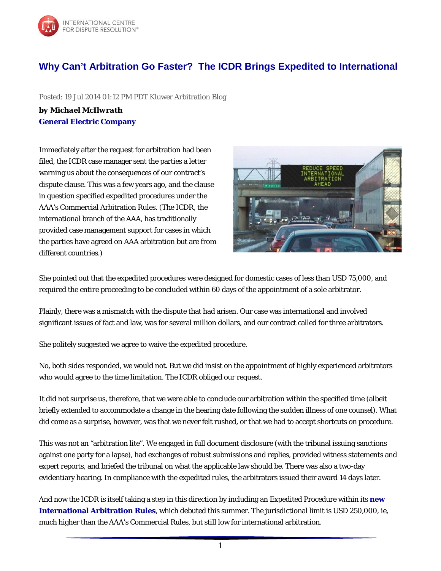

## **[Why Can't Arbitration Go Faster? The ICDR Brings Expedited to International](http://feedproxy.google.com/~r/KluwerArbitrationBlogFull/~3/uKpN6TFA9b4/?utm_source=feedburner&utm_medium=email)**

Posted: 19 Jul 2014 01:12 PM PDT Kluwer Arbitration Blog

*by Michael McIlwrath* **[General Electric Company](http://www.ge.com/)**

Immediately after the request for arbitration had been filed, the ICDR case manager sent the parties a letter warning us about the consequences of our contract's dispute clause. This was a few years ago, and the clause in question specified expedited procedures under the AAA's Commercial Arbitration Rules. (The ICDR, the international branch of the AAA, has traditionally provided case management support for cases in which the parties have agreed on AAA arbitration but are from different countries.)



She pointed out that the expedited procedures were designed for domestic cases of less than USD 75,000, and required the *entire* proceeding to be concluded within 60 days of the appointment of a sole arbitrator.

Plainly, there was a mismatch with the dispute that had arisen. Our case was international and involved significant issues of fact and law, was for several million dollars, and our contract called for three arbitrators.

She politely suggested we agree to waive the expedited procedure.

No, both sides responded, we would not. But we did insist on the appointment of highly experienced arbitrators who would agree to the time limitation. The ICDR obliged our request.

It did not surprise us, therefore, that we were able to conclude our arbitration within the specified time (albeit briefly extended to accommodate a change in the hearing date following the sudden illness of one counsel). What did come as a surprise, however, was that we never felt rushed, or that we had to accept shortcuts on procedure.

This was not an "arbitration lite". We engaged in full document disclosure (with the tribunal issuing sanctions against one party for a lapse), had exchanges of robust submissions and replies, provided witness statements and expert reports, and briefed the tribunal on what the applicable law should be. There was also a two-day evidentiary hearing. In compliance with the expedited rules, the arbitrators issued their award 14 days later.

And now the ICDR is itself taking a step in this direction by including an Expedited Procedure within its **[new](http://images.go.adr.org/Web/AmericanArbitrationAssociation/%7B726dd34d-bcc5-4d64-9d1d-ccd7542e9910%7D_ICDR_Rules.pdf)  [International Arbitration Rules](http://images.go.adr.org/Web/AmericanArbitrationAssociation/%7B726dd34d-bcc5-4d64-9d1d-ccd7542e9910%7D_ICDR_Rules.pdf)**, which debuted this summer. The jurisdictional limit is USD 250,000, ie, much higher than the AAA's Commercial Rules, but still low for international arbitration.

1